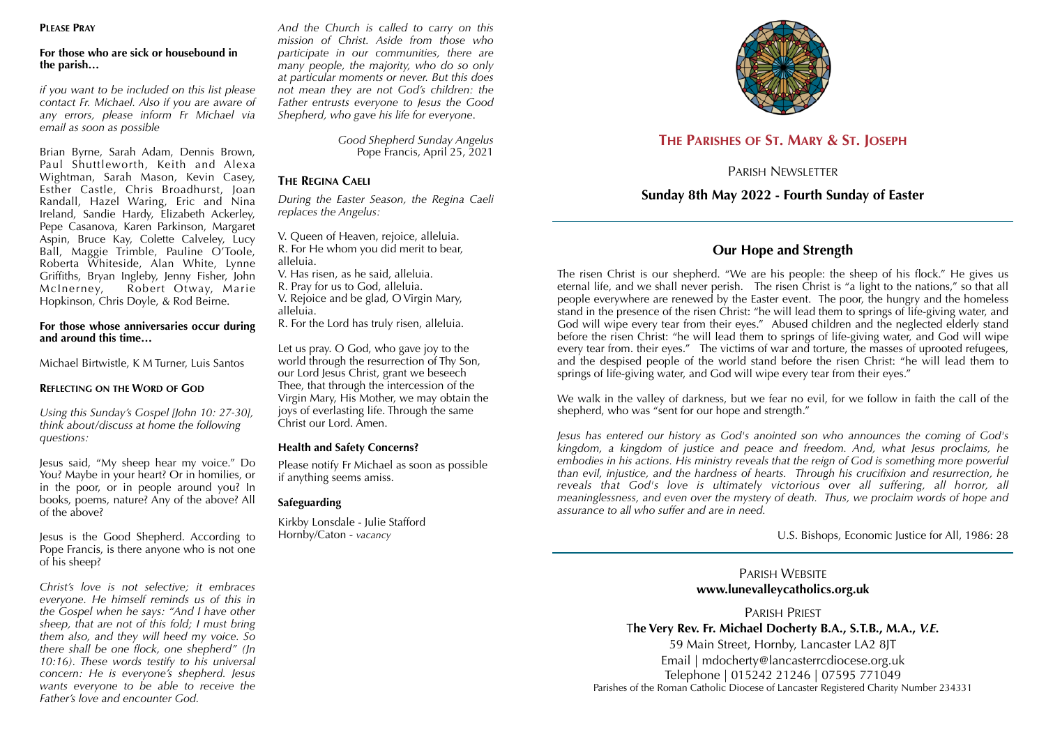#### **PLEASE PRAY**

#### **For those who are sick or housebound in the parish…**

*if you want to be included on this list please contact Fr. Michael. Also if you are aware of any errors, please inform Fr Michael via email as soon as possible* 

Brian Byrne, Sarah Adam, Dennis Brown, Paul Shuttleworth, Keith and Alexa Wightman, Sarah Mason, Kevin Casey, Esther Castle, Chris Broadhurst, Joan Randall, Hazel Waring, Eric and Nina Ireland, Sandie Hardy, Elizabeth Ackerley, Pepe Casanova, Karen Parkinson, Margaret Aspin, Bruce Kay, Colette Calveley, Lucy Ball, Maggie Trimble, Pauline O'Toole, Roberta Whiteside, Alan White, Lynne Griffiths, Bryan Ingleby, Jenny Fisher, John McInerney, Robert Otway, Marie Hopkinson, Chris Doyle, & Rod Beirne.

#### **For those whose anniversaries occur during and around this time…**

Michael Birtwistle, K M Turner, Luis Santos

#### **REFLECTING ON THE WORD OF GOD**

*Using this Sunday's Gospel [John 10: 27-30], think about/discuss at home the following questions:* 

Jesus said, "My sheep hear my voice." Do You? Maybe in your heart? Or in homilies, or in the poor, or in people around you? In books, poems, nature? Any of the above? All of the above?

Jesus is the Good Shepherd. According to Pope Francis, is there anyone who is not one of his sheep?

*Christ's love is not selective; it embraces everyone. He himself reminds us of this in the Gospel when he says: "And I have other sheep, that are not of this fold; I must bring them also, and they will heed my voice. So there shall be one flock, one shepherd" (Jn 10:16). These words testify to his universal concern: He is everyone's shepherd. Jesus wants everyone to be able to receive the Father's love and encounter God.* 

*And the Church is called to carry on this mission of Christ. Aside from those who participate in our communities, there are many people, the majority, who do so only at particular moments or never. But this does not mean they are not God's children: the Father entrusts everyone to Jesus the Good Shepherd, who gave his life for everyone*.

> *Good Shepherd Sunday Angelus*  Pope Francis, April 25, 2021

#### **THE REGINA CAELI**

*During the Easter Season, the Regina Caeli replaces the Angelus:* 

V. Queen of Heaven, rejoice, alleluia. R. For He whom you did merit to bear, alleluia. V. Has risen, as he said, alleluia.

R. Pray for us to God, alleluia.

V. Rejoice and be glad, O Virgin Mary, alleluia.

R. For the Lord has truly risen, alleluia.

Let us pray. O God, who gave joy to the world through the resurrection of Thy Son, our Lord Jesus Christ, grant we beseech Thee, that through the intercession of the Virgin Mary, His Mother, we may obtain the joys of everlasting life. Through the same Christ our Lord. Amen.

#### **Health and Safety Concerns?**

Please notify Fr Michael as soon as possible if anything seems amiss.

#### **Safeguarding**

Kirkby Lonsdale - Julie Stafford Hornby/Caton - *vacancy*



# **THE PARISHES OF ST. MARY & ST. JOSEPH**

PARISH NEWSLETTER

# **Sunday 8th May 2022 - Fourth Sunday of Easter**

# **Our Hope and Strength**

The risen Christ is our shepherd. "We are his people: the sheep of his flock." He gives us eternal life, and we shall never perish. The risen Christ is "a light to the nations," so that all people everywhere are renewed by the Easter event. The poor, the hungry and the homeless stand in the presence of the risen Christ: "he will lead them to springs of life-giving water, and God will wipe every tear from their eyes." Abused children and the neglected elderly stand before the risen Christ: "he will lead them to springs of life-giving water, and God will wipe every tear from. their eyes." The victims of war and torture, the masses of uprooted refugees, and the despised people of the world stand before the risen Christ: "he will lead them to springs of life-giving water, and God will wipe every tear from their eyes."

We walk in the valley of darkness, but we fear no evil, for we follow in faith the call of the shepherd, who was "sent for our hope and strength."

*Jesus has entered our history as God's anointed son who announces the coming of God's kingdom, a kingdom of justice and peace and freedom. And, what Jesus proclaims, he embodies in his actions. His ministry reveals that the reign of God is something more powerful than evil, injustice, and the hardness of hearts. Through his crucifixion and resurrection, he reveals that God's love is ultimately victorious over all suffering, all horror, all meaninglessness, and even over the mystery of death. Thus, we proclaim words of hope and assurance to all who suffer and are in need.* 

U.S. Bishops, Economic Justice for All, 1986: 28

PARISH WEBSITE **www.lunevalleycatholics.org.uk** 

PARISH PRIEST T**he Very Rev. Fr. Michael Docherty B.A., S.T.B., M.A.,** *V.E.* 59 Main Street, Hornby, Lancaster LA2 8JT Email | mdocherty@lancasterrcdiocese.org.uk

Telephone | 015242 21246 | 07595 771049 Parishes of the Roman Catholic Diocese of Lancaster Registered Charity Number 234331